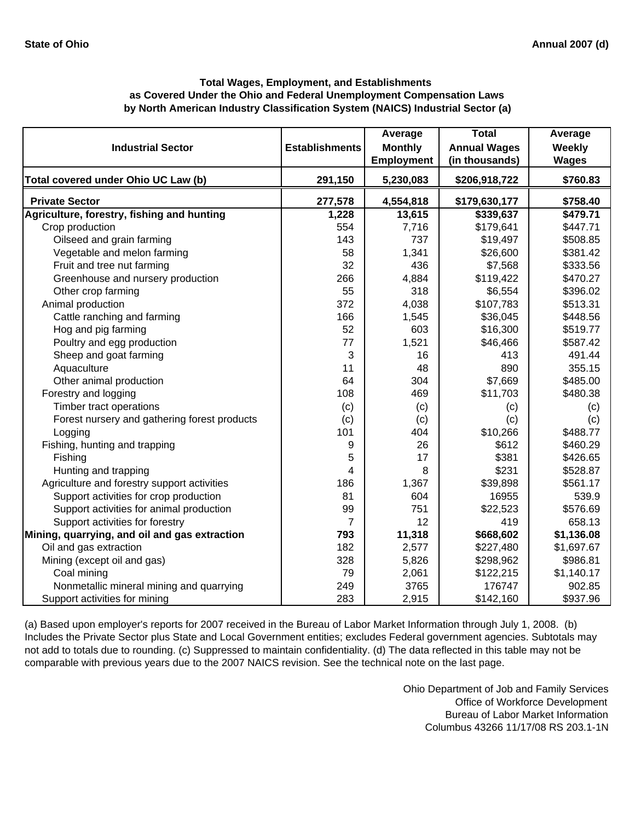# **by North American Industry Classification System (NAICS) Industrial Sector (a) Total Wages, Employment, and Establishments as Covered Under the Ohio and Federal Unemployment Compensation Laws**

| <b>Industrial Sector</b>                      | <b>Establishments</b> | Average<br><b>Monthly</b><br><b>Employment</b> | <b>Total</b><br><b>Annual Wages</b><br>(in thousands) | Average<br>Weekly<br><b>Wages</b> |
|-----------------------------------------------|-----------------------|------------------------------------------------|-------------------------------------------------------|-----------------------------------|
| Total covered under Ohio UC Law (b)           | 291,150               | 5,230,083                                      | \$206,918,722                                         | \$760.83                          |
| <b>Private Sector</b>                         | 277,578               | 4,554,818                                      | \$179,630,177                                         | \$758.40                          |
| Agriculture, forestry, fishing and hunting    | 1,228                 | 13,615                                         | \$339,637                                             | \$479.71                          |
| Crop production                               | 554                   | 7,716                                          | \$179,641                                             | \$447.71                          |
| Oilseed and grain farming                     | 143                   | 737                                            | \$19,497                                              | \$508.85                          |
| Vegetable and melon farming                   | 58                    | 1,341                                          | \$26,600                                              | \$381.42                          |
| Fruit and tree nut farming                    | 32                    | 436                                            | \$7,568                                               | \$333.56                          |
| Greenhouse and nursery production             | 266                   | 4,884                                          | \$119,422                                             | \$470.27                          |
| Other crop farming                            | 55                    | 318                                            | \$6,554                                               | \$396.02                          |
| Animal production                             | 372                   | 4,038                                          | \$107,783                                             | \$513.31                          |
| Cattle ranching and farming                   | 166                   | 1,545                                          | \$36,045                                              | \$448.56                          |
| Hog and pig farming                           | 52                    | 603                                            | \$16,300                                              | \$519.77                          |
| Poultry and egg production                    | 77                    | 1,521                                          | \$46,466                                              | \$587.42                          |
| Sheep and goat farming                        | 3                     | 16                                             | 413                                                   | 491.44                            |
| Aquaculture                                   | 11                    | 48                                             | 890                                                   | 355.15                            |
| Other animal production                       | 64                    | 304                                            | \$7,669                                               | \$485.00                          |
| Forestry and logging                          | 108                   | 469                                            | \$11,703                                              | \$480.38                          |
| Timber tract operations                       | (c)                   | (c)                                            | (c)                                                   | (c)                               |
| Forest nursery and gathering forest products  | (c)                   | (c)                                            | (c)                                                   | (c)                               |
| Logging                                       | 101                   | 404                                            | \$10,266                                              | \$488.77                          |
| Fishing, hunting and trapping                 | 9                     | 26                                             | \$612                                                 | \$460.29                          |
| Fishing                                       | 5                     | 17                                             | \$381                                                 | \$426.65                          |
| Hunting and trapping                          | 4                     | 8                                              | \$231                                                 | \$528.87                          |
| Agriculture and forestry support activities   | 186                   | 1,367                                          | \$39,898                                              | \$561.17                          |
| Support activities for crop production        | 81                    | 604                                            | 16955                                                 | 539.9                             |
| Support activities for animal production      | 99                    | 751                                            | \$22,523                                              | \$576.69                          |
| Support activities for forestry               | $\overline{7}$        | 12                                             | 419                                                   | 658.13                            |
| Mining, quarrying, and oil and gas extraction | 793                   | 11,318                                         | \$668,602                                             | \$1,136.08                        |
| Oil and gas extraction                        | 182                   | 2,577                                          | \$227,480                                             | \$1,697.67                        |
| Mining (except oil and gas)                   | 328                   | 5,826                                          | \$298,962                                             | \$986.81                          |
| Coal mining                                   | 79                    | 2,061                                          | \$122,215                                             | \$1,140.17                        |
| Nonmetallic mineral mining and quarrying      | 249                   | 3765                                           | 176747                                                | 902.85                            |
| Support activities for mining                 | 283                   | 2,915                                          | \$142,160                                             | \$937.96                          |

(a) Based upon employer's reports for 2007 received in the Bureau of Labor Market Information through July 1, 2008. (b) Includes the Private Sector plus State and Local Government entities; excludes Federal government agencies. Subtotals may not add to totals due to rounding. (c) Suppressed to maintain confidentiality. (d) The data reflected in this table may not be comparable with previous years due to the 2007 NAICS revision. See the technical note on the last page.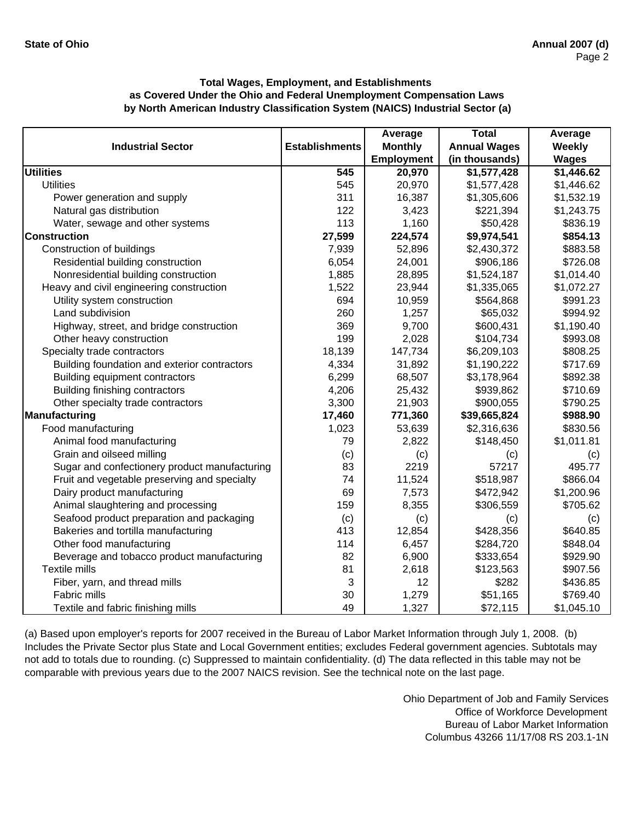|                                               |                       | Average           | <b>Total</b>        | Average      |
|-----------------------------------------------|-----------------------|-------------------|---------------------|--------------|
| <b>Industrial Sector</b>                      | <b>Establishments</b> | <b>Monthly</b>    | <b>Annual Wages</b> | Weekly       |
|                                               |                       | <b>Employment</b> | (in thousands)      | <b>Wages</b> |
| <b>Utilities</b>                              | 545                   | 20,970            | \$1,577,428         | \$1,446.62   |
| <b>Utilities</b>                              | 545                   | 20,970            | \$1,577,428         | \$1,446.62   |
| Power generation and supply                   | 311                   | 16,387            | \$1,305,606         | \$1,532.19   |
| Natural gas distribution                      | 122                   | 3,423             | \$221,394           | \$1,243.75   |
| Water, sewage and other systems               | 113                   | 1,160             | \$50,428            | \$836.19     |
| <b>Construction</b>                           | 27,599                | 224,574           | \$9,974,541         | \$854.13     |
| Construction of buildings                     | 7,939                 | 52,896            | \$2,430,372         | \$883.58     |
| Residential building construction             | 6,054                 | 24,001            | \$906,186           | \$726.08     |
| Nonresidential building construction          | 1,885                 | 28,895            | \$1,524,187         | \$1,014.40   |
| Heavy and civil engineering construction      | 1,522                 | 23,944            | \$1,335,065         | \$1,072.27   |
| Utility system construction                   | 694                   | 10,959            | \$564,868           | \$991.23     |
| Land subdivision                              | 260                   | 1,257             | \$65,032            | \$994.92     |
| Highway, street, and bridge construction      | 369                   | 9,700             | \$600,431           | \$1,190.40   |
| Other heavy construction                      | 199                   | 2,028             | \$104,734           | \$993.08     |
| Specialty trade contractors                   | 18,139                | 147,734           | \$6,209,103         | \$808.25     |
| Building foundation and exterior contractors  | 4,334                 | 31,892            | \$1,190,222         | \$717.69     |
| Building equipment contractors                | 6,299                 | 68,507            | \$3,178,964         | \$892.38     |
| Building finishing contractors                | 4,206                 | 25,432            | \$939,862           | \$710.69     |
| Other specialty trade contractors             | 3,300                 | 21,903            | \$900,055           | \$790.25     |
| Manufacturing                                 | 17,460                | 771,360           | \$39,665,824        | \$988.90     |
| Food manufacturing                            | 1,023                 | 53,639            | \$2,316,636         | \$830.56     |
| Animal food manufacturing                     | 79                    | 2,822             | \$148,450           | \$1,011.81   |
| Grain and oilseed milling                     | (c)                   | (c)               | (c)                 | (c)          |
| Sugar and confectionery product manufacturing | 83                    | 2219              | 57217               | 495.77       |
| Fruit and vegetable preserving and specialty  | 74                    | 11,524            | \$518,987           | \$866.04     |
| Dairy product manufacturing                   | 69                    | 7,573             | \$472,942           | \$1,200.96   |
| Animal slaughtering and processing            | 159                   | 8,355             | \$306,559           | \$705.62     |
| Seafood product preparation and packaging     | (c)                   | (c)               | (c)                 | (c)          |
| Bakeries and tortilla manufacturing           | 413                   | 12,854            | \$428,356           | \$640.85     |
| Other food manufacturing                      | 114                   | 6,457             | \$284,720           | \$848.04     |
| Beverage and tobacco product manufacturing    | 82                    | 6,900             | \$333,654           | \$929.90     |
| Textile mills                                 | 81                    | 2,618             | \$123,563           | \$907.56     |
| Fiber, yarn, and thread mills                 | 3                     | 12                | \$282               | \$436.85     |
| <b>Fabric mills</b>                           | 30                    | 1,279             | \$51,165            | \$769.40     |
| Textile and fabric finishing mills            | 49                    | 1,327             | \$72,115            | \$1,045.10   |

(a) Based upon employer's reports for 2007 received in the Bureau of Labor Market Information through July 1, 2008. (b) Includes the Private Sector plus State and Local Government entities; excludes Federal government agencies. Subtotals may not add to totals due to rounding. (c) Suppressed to maintain confidentiality. (d) The data reflected in this table may not be comparable with previous years due to the 2007 NAICS revision. See the technical note on the last page.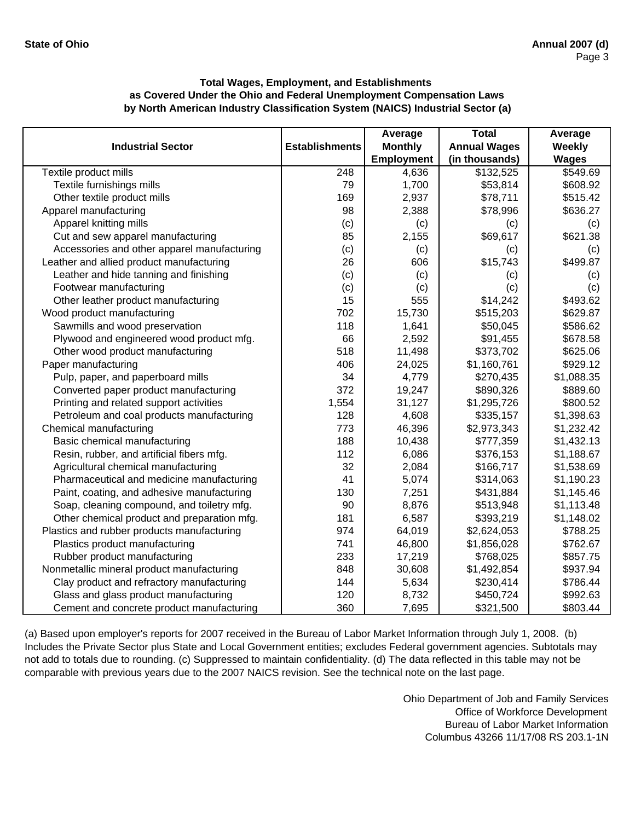|                                             |                       | Average           | <b>Total</b>        | Average      |
|---------------------------------------------|-----------------------|-------------------|---------------------|--------------|
| <b>Industrial Sector</b>                    | <b>Establishments</b> | <b>Monthly</b>    | <b>Annual Wages</b> | Weekly       |
|                                             |                       | <b>Employment</b> | (in thousands)      | <b>Wages</b> |
| Textile product mills                       | 248                   | 4,636             | \$132,525           | \$549.69     |
| Textile furnishings mills                   | 79                    | 1,700             | \$53,814            | \$608.92     |
| Other textile product mills                 | 169                   | 2,937             | \$78,711            | \$515.42     |
| Apparel manufacturing                       | 98                    | 2,388             | \$78,996            | \$636.27     |
| Apparel knitting mills                      | (c)                   | (c)               | (c)                 | (c)          |
| Cut and sew apparel manufacturing           | 85                    | 2,155             | \$69,617            | \$621.38     |
| Accessories and other apparel manufacturing | (c)                   | (c)               | (c)                 | (c)          |
| Leather and allied product manufacturing    | 26                    | 606               | \$15,743            | \$499.87     |
| Leather and hide tanning and finishing      | (c)                   | (c)               | (c)                 | (c)          |
| Footwear manufacturing                      | (c)                   | (c)               | (c)                 | (c)          |
| Other leather product manufacturing         | 15                    | 555               | \$14,242            | \$493.62     |
| Wood product manufacturing                  | 702                   | 15,730            | \$515,203           | \$629.87     |
| Sawmills and wood preservation              | 118                   | 1,641             | \$50,045            | \$586.62     |
| Plywood and engineered wood product mfg.    | 66                    | 2,592             | \$91,455            | \$678.58     |
| Other wood product manufacturing            | 518                   | 11,498            | \$373,702           | \$625.06     |
| Paper manufacturing                         | 406                   | 24,025            | \$1,160,761         | \$929.12     |
| Pulp, paper, and paperboard mills           | 34                    | 4,779             | \$270,435           | \$1,088.35   |
| Converted paper product manufacturing       | 372                   | 19,247            | \$890,326           | \$889.60     |
| Printing and related support activities     | 1,554                 | 31,127            | \$1,295,726         | \$800.52     |
| Petroleum and coal products manufacturing   | 128                   | 4,608             | \$335,157           | \$1,398.63   |
| Chemical manufacturing                      | 773                   | 46,396            | \$2,973,343         | \$1,232.42   |
| Basic chemical manufacturing                | 188                   | 10,438            | \$777,359           | \$1,432.13   |
| Resin, rubber, and artificial fibers mfg.   | 112                   | 6,086             | \$376,153           | \$1,188.67   |
| Agricultural chemical manufacturing         | 32                    | 2,084             | \$166,717           | \$1,538.69   |
| Pharmaceutical and medicine manufacturing   | 41                    | 5,074             | \$314,063           | \$1,190.23   |
| Paint, coating, and adhesive manufacturing  | 130                   | 7,251             | \$431,884           | \$1,145.46   |
| Soap, cleaning compound, and toiletry mfg.  | 90                    | 8,876             | \$513,948           | \$1,113.48   |
| Other chemical product and preparation mfg. | 181                   | 6,587             | \$393,219           | \$1,148.02   |
| Plastics and rubber products manufacturing  | 974                   | 64,019            | \$2,624,053         | \$788.25     |
| Plastics product manufacturing              | 741                   | 46,800            | \$1,856,028         | \$762.67     |
| Rubber product manufacturing                | 233                   | 17,219            | \$768,025           | \$857.75     |
| Nonmetallic mineral product manufacturing   | 848                   | 30,608            | \$1,492,854         | \$937.94     |
| Clay product and refractory manufacturing   | 144                   | 5,634             | \$230,414           | \$786.44     |
| Glass and glass product manufacturing       | 120                   | 8,732             | \$450,724           | \$992.63     |
| Cement and concrete product manufacturing   | 360                   | 7,695             | \$321,500           | \$803.44     |

(a) Based upon employer's reports for 2007 received in the Bureau of Labor Market Information through July 1, 2008. (b) Includes the Private Sector plus State and Local Government entities; excludes Federal government agencies. Subtotals may not add to totals due to rounding. (c) Suppressed to maintain confidentiality. (d) The data reflected in this table may not be comparable with previous years due to the 2007 NAICS revision. See the technical note on the last page.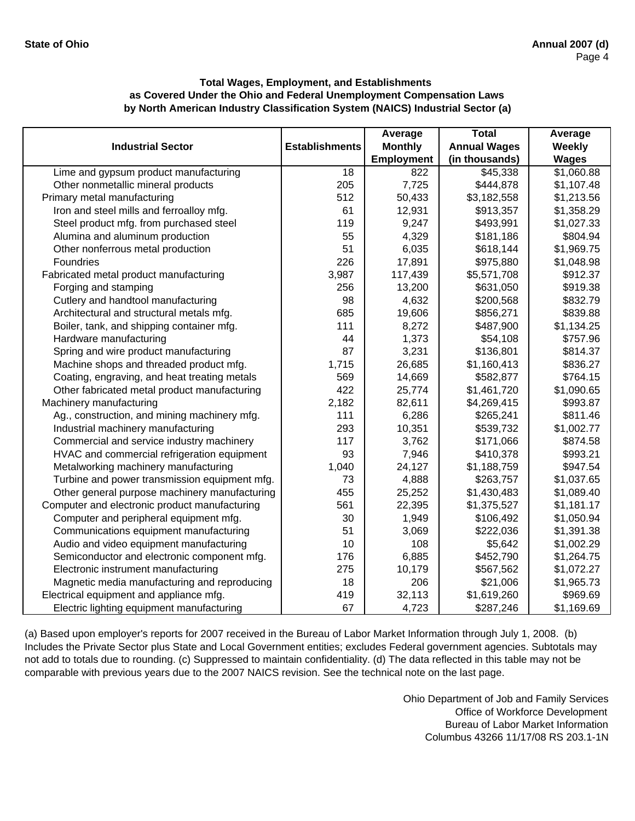|                                               |                       | Average           | <b>Total</b>        | Average       |
|-----------------------------------------------|-----------------------|-------------------|---------------------|---------------|
| <b>Industrial Sector</b>                      | <b>Establishments</b> | <b>Monthly</b>    | <b>Annual Wages</b> | <b>Weekly</b> |
|                                               |                       | <b>Employment</b> | (in thousands)      | <b>Wages</b>  |
| Lime and gypsum product manufacturing         | $\overline{18}$       | 822               | \$45,338            | \$1,060.88    |
| Other nonmetallic mineral products            | 205                   | 7,725             | \$444,878           | \$1,107.48    |
| Primary metal manufacturing                   | 512                   | 50,433            | \$3,182,558         | \$1,213.56    |
| Iron and steel mills and ferroalloy mfg.      | 61                    | 12,931            | \$913,357           | \$1,358.29    |
| Steel product mfg. from purchased steel       | 119                   | 9,247             | \$493,991           | \$1,027.33    |
| Alumina and aluminum production               | 55                    | 4,329             | \$181,186           | \$804.94      |
| Other nonferrous metal production             | 51                    | 6,035             | \$618,144           | \$1,969.75    |
| Foundries                                     | 226                   | 17,891            | \$975,880           | \$1,048.98    |
| Fabricated metal product manufacturing        | 3,987                 | 117,439           | \$5,571,708         | \$912.37      |
| Forging and stamping                          | 256                   | 13,200            | \$631,050           | \$919.38      |
| Cutlery and handtool manufacturing            | 98                    | 4,632             | \$200,568           | \$832.79      |
| Architectural and structural metals mfg.      | 685                   | 19,606            | \$856,271           | \$839.88      |
| Boiler, tank, and shipping container mfg.     | 111                   | 8,272             | \$487,900           | \$1,134.25    |
| Hardware manufacturing                        | 44                    | 1,373             | \$54,108            | \$757.96      |
| Spring and wire product manufacturing         | 87                    | 3,231             | \$136,801           | \$814.37      |
| Machine shops and threaded product mfg.       | 1,715                 | 26,685            | \$1,160,413         | \$836.27      |
| Coating, engraving, and heat treating metals  | 569                   | 14,669            | \$582,877           | \$764.15      |
| Other fabricated metal product manufacturing  | 422                   | 25,774            | \$1,461,720         | \$1,090.65    |
| Machinery manufacturing                       | 2,182                 | 82,611            | \$4,269,415         | \$993.87      |
| Ag., construction, and mining machinery mfg.  | 111                   | 6,286             | \$265,241           | \$811.46      |
| Industrial machinery manufacturing            | 293                   | 10,351            | \$539,732           | \$1,002.77    |
| Commercial and service industry machinery     | 117                   | 3,762             | \$171,066           | \$874.58      |
| HVAC and commercial refrigeration equipment   | 93                    | 7,946             | \$410,378           | \$993.21      |
| Metalworking machinery manufacturing          | 1,040                 | 24,127            | \$1,188,759         | \$947.54      |
| Turbine and power transmission equipment mfg. | 73                    | 4,888             | \$263,757           | \$1,037.65    |
| Other general purpose machinery manufacturing | 455                   | 25,252            | \$1,430,483         | \$1,089.40    |
| Computer and electronic product manufacturing | 561                   | 22,395            | \$1,375,527         | \$1,181.17    |
| Computer and peripheral equipment mfg.        | 30                    | 1,949             | \$106,492           | \$1,050.94    |
| Communications equipment manufacturing        | 51                    | 3,069             | \$222,036           | \$1,391.38    |
| Audio and video equipment manufacturing       | 10                    | 108               | \$5,642             | \$1,002.29    |
| Semiconductor and electronic component mfg.   | 176                   | 6,885             | \$452,790           | \$1,264.75    |
| Electronic instrument manufacturing           | 275                   | 10,179            | \$567,562           | \$1,072.27    |
| Magnetic media manufacturing and reproducing  | 18                    | 206               | \$21,006            | \$1,965.73    |
| Electrical equipment and appliance mfg.       | 419                   | 32,113            | \$1,619,260         | \$969.69      |
| Electric lighting equipment manufacturing     | 67                    | 4,723             | \$287,246           | \$1,169.69    |

(a) Based upon employer's reports for 2007 received in the Bureau of Labor Market Information through July 1, 2008. (b) Includes the Private Sector plus State and Local Government entities; excludes Federal government agencies. Subtotals may not add to totals due to rounding. (c) Suppressed to maintain confidentiality. (d) The data reflected in this table may not be comparable with previous years due to the 2007 NAICS revision. See the technical note on the last page.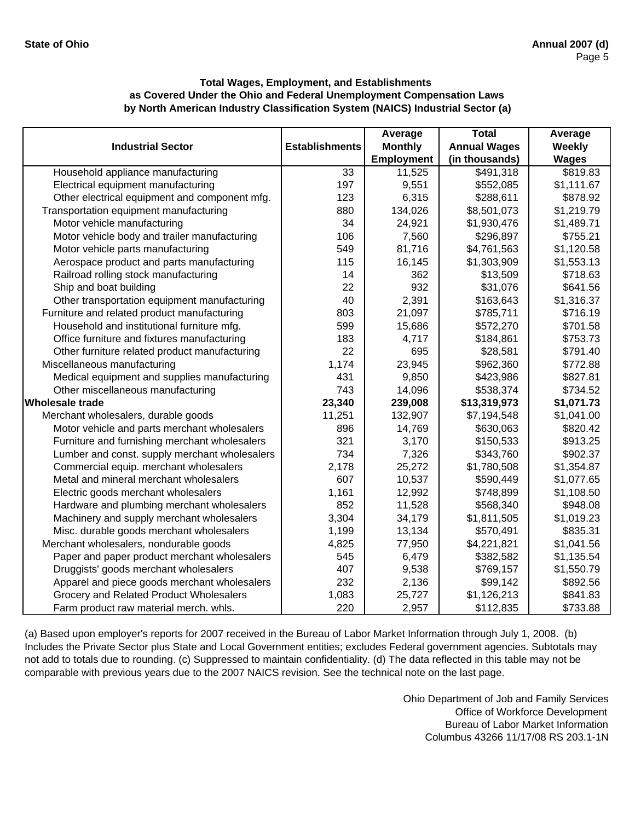|                                               |                       | Average           | <b>Total</b>        | Average      |
|-----------------------------------------------|-----------------------|-------------------|---------------------|--------------|
| <b>Industrial Sector</b>                      | <b>Establishments</b> | <b>Monthly</b>    | <b>Annual Wages</b> | Weekly       |
|                                               |                       | <b>Employment</b> | (in thousands)      | <b>Wages</b> |
| Household appliance manufacturing             | 33                    | 11,525            | \$491,318           | \$819.83     |
| Electrical equipment manufacturing            | 197                   | 9,551             | \$552,085           | \$1,111.67   |
| Other electrical equipment and component mfg. | 123                   | 6,315             | \$288,611           | \$878.92     |
| Transportation equipment manufacturing        | 880                   | 134,026           | \$8,501,073         | \$1,219.79   |
| Motor vehicle manufacturing                   | 34                    | 24,921            | \$1,930,476         | \$1,489.71   |
| Motor vehicle body and trailer manufacturing  | 106                   | 7,560             | \$296,897           | \$755.21     |
| Motor vehicle parts manufacturing             | 549                   | 81,716            | \$4,761,563         | \$1,120.58   |
| Aerospace product and parts manufacturing     | 115                   | 16,145            | \$1,303,909         | \$1,553.13   |
| Railroad rolling stock manufacturing          | 14                    | 362               | \$13,509            | \$718.63     |
| Ship and boat building                        | 22                    | 932               | \$31,076            | \$641.56     |
| Other transportation equipment manufacturing  | 40                    | 2,391             | \$163,643           | \$1,316.37   |
| Furniture and related product manufacturing   | 803                   | 21,097            | \$785,711           | \$716.19     |
| Household and institutional furniture mfg.    | 599                   | 15,686            | \$572,270           | \$701.58     |
| Office furniture and fixtures manufacturing   | 183                   | 4,717             | \$184,861           | \$753.73     |
| Other furniture related product manufacturing | 22                    | 695               | \$28,581            | \$791.40     |
| Miscellaneous manufacturing                   | 1,174                 | 23,945            | \$962,360           | \$772.88     |
| Medical equipment and supplies manufacturing  | 431                   | 9,850             | \$423,986           | \$827.81     |
| Other miscellaneous manufacturing             | 743                   | 14,096            | \$538,374           | \$734.52     |
| <b>Wholesale trade</b>                        | 23,340                | 239,008           | \$13,319,973        | \$1,071.73   |
| Merchant wholesalers, durable goods           | 11,251                | 132,907           | \$7,194,548         | \$1,041.00   |
| Motor vehicle and parts merchant wholesalers  | 896                   | 14,769            | \$630,063           | \$820.42     |
| Furniture and furnishing merchant wholesalers | 321                   | 3,170             | \$150,533           | \$913.25     |
| Lumber and const. supply merchant wholesalers | 734                   | 7,326             | \$343,760           | \$902.37     |
| Commercial equip. merchant wholesalers        | 2,178                 | 25,272            | \$1,780,508         | \$1,354.87   |
| Metal and mineral merchant wholesalers        | 607                   | 10,537            | \$590,449           | \$1,077.65   |
| Electric goods merchant wholesalers           | 1,161                 | 12,992            | \$748,899           | \$1,108.50   |
| Hardware and plumbing merchant wholesalers    | 852                   | 11,528            | \$568,340           | \$948.08     |
| Machinery and supply merchant wholesalers     | 3,304                 | 34,179            | \$1,811,505         | \$1,019.23   |
| Misc. durable goods merchant wholesalers      | 1,199                 | 13,134            | \$570,491           | \$835.31     |
| Merchant wholesalers, nondurable goods        | 4,825                 | 77,950            | \$4,221,821         | \$1,041.56   |
| Paper and paper product merchant wholesalers  | 545                   | 6,479             | \$382,582           | \$1,135.54   |
| Druggists' goods merchant wholesalers         | 407                   | 9,538             | \$769,157           | \$1,550.79   |
| Apparel and piece goods merchant wholesalers  | 232                   | 2,136             | \$99,142            | \$892.56     |
| Grocery and Related Product Wholesalers       | 1,083                 | 25,727            | \$1,126,213         | \$841.83     |
| Farm product raw material merch. whls.        | 220                   | 2,957             | \$112,835           | \$733.88     |

(a) Based upon employer's reports for 2007 received in the Bureau of Labor Market Information through July 1, 2008. (b) Includes the Private Sector plus State and Local Government entities; excludes Federal government agencies. Subtotals may not add to totals due to rounding. (c) Suppressed to maintain confidentiality. (d) The data reflected in this table may not be comparable with previous years due to the 2007 NAICS revision. See the technical note on the last page.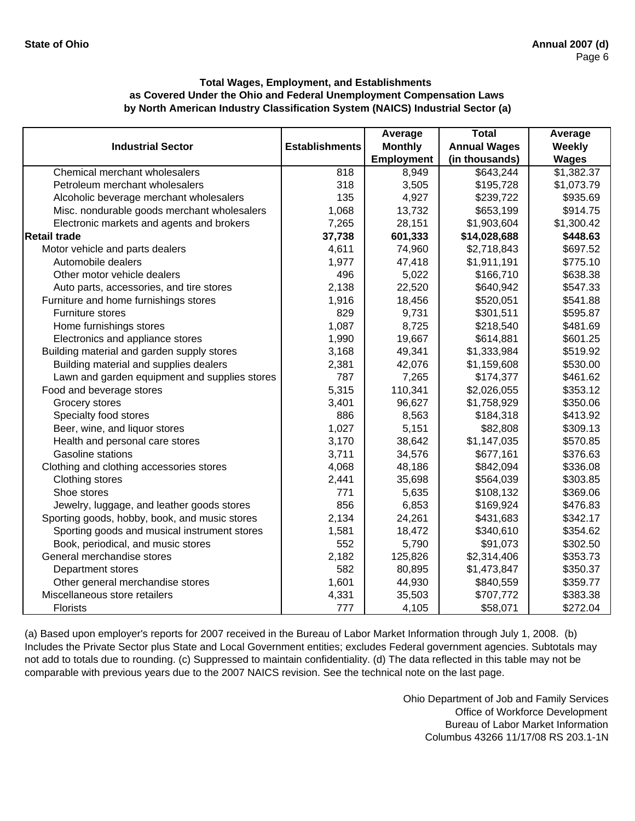|                                               |                       | Average           | <b>Total</b>        | Average      |
|-----------------------------------------------|-----------------------|-------------------|---------------------|--------------|
| <b>Industrial Sector</b>                      | <b>Establishments</b> | <b>Monthly</b>    | <b>Annual Wages</b> | Weekly       |
|                                               |                       | <b>Employment</b> | (in thousands)      | <b>Wages</b> |
| Chemical merchant wholesalers                 | 818                   | 8,949             | \$643,244           | \$1,382.37   |
| Petroleum merchant wholesalers                | 318                   | 3,505             | \$195,728           | \$1,073.79   |
| Alcoholic beverage merchant wholesalers       | 135                   | 4,927             | \$239,722           | \$935.69     |
| Misc. nondurable goods merchant wholesalers   | 1,068                 | 13,732            | \$653,199           | \$914.75     |
| Electronic markets and agents and brokers     | 7,265                 | 28,151            | \$1,903,604         | \$1,300.42   |
| <b>Retail trade</b>                           | 37,738                | 601,333           | \$14,028,688        | \$448.63     |
| Motor vehicle and parts dealers               | 4,611                 | 74,960            | \$2,718,843         | \$697.52     |
| Automobile dealers                            | 1,977                 | 47,418            | \$1,911,191         | \$775.10     |
| Other motor vehicle dealers                   | 496                   | 5,022             | \$166,710           | \$638.38     |
| Auto parts, accessories, and tire stores      | 2,138                 | 22,520            | \$640,942           | \$547.33     |
| Furniture and home furnishings stores         | 1,916                 | 18,456            | \$520,051           | \$541.88     |
| Furniture stores                              | 829                   | 9,731             | \$301,511           | \$595.87     |
| Home furnishings stores                       | 1,087                 | 8,725             | \$218,540           | \$481.69     |
| Electronics and appliance stores              | 1,990                 | 19,667            | \$614,881           | \$601.25     |
| Building material and garden supply stores    | 3,168                 | 49,341            | \$1,333,984         | \$519.92     |
| Building material and supplies dealers        | 2,381                 | 42,076            | \$1,159,608         | \$530.00     |
| Lawn and garden equipment and supplies stores | 787                   | 7,265             | \$174,377           | \$461.62     |
| Food and beverage stores                      | 5,315                 | 110,341           | \$2,026,055         | \$353.12     |
| Grocery stores                                | 3,401                 | 96,627            | \$1,758,929         | \$350.06     |
| Specialty food stores                         | 886                   | 8,563             | \$184,318           | \$413.92     |
| Beer, wine, and liquor stores                 | 1,027                 | 5,151             | \$82,808            | \$309.13     |
| Health and personal care stores               | 3,170                 | 38,642            | \$1,147,035         | \$570.85     |
| <b>Gasoline stations</b>                      | 3,711                 | 34,576            | \$677,161           | \$376.63     |
| Clothing and clothing accessories stores      | 4,068                 | 48,186            | \$842,094           | \$336.08     |
| Clothing stores                               | 2,441                 | 35,698            | \$564,039           | \$303.85     |
| Shoe stores                                   | 771                   | 5,635             | \$108,132           | \$369.06     |
| Jewelry, luggage, and leather goods stores    | 856                   | 6,853             | \$169,924           | \$476.83     |
| Sporting goods, hobby, book, and music stores | 2,134                 | 24,261            | \$431,683           | \$342.17     |
| Sporting goods and musical instrument stores  | 1,581                 | 18,472            | \$340,610           | \$354.62     |
| Book, periodical, and music stores            | 552                   | 5,790             | \$91,073            | \$302.50     |
| General merchandise stores                    | 2,182                 | 125,826           | \$2,314,406         | \$353.73     |
| Department stores                             | 582                   | 80,895            | \$1,473,847         | \$350.37     |
| Other general merchandise stores              | 1,601                 | 44,930            | \$840,559           | \$359.77     |
| Miscellaneous store retailers                 | 4,331                 | 35,503            | \$707,772           | \$383.38     |
| <b>Florists</b>                               | 777                   | 4,105             | \$58,071            | \$272.04     |

(a) Based upon employer's reports for 2007 received in the Bureau of Labor Market Information through July 1, 2008. (b) Includes the Private Sector plus State and Local Government entities; excludes Federal government agencies. Subtotals may not add to totals due to rounding. (c) Suppressed to maintain confidentiality. (d) The data reflected in this table may not be comparable with previous years due to the 2007 NAICS revision. See the technical note on the last page.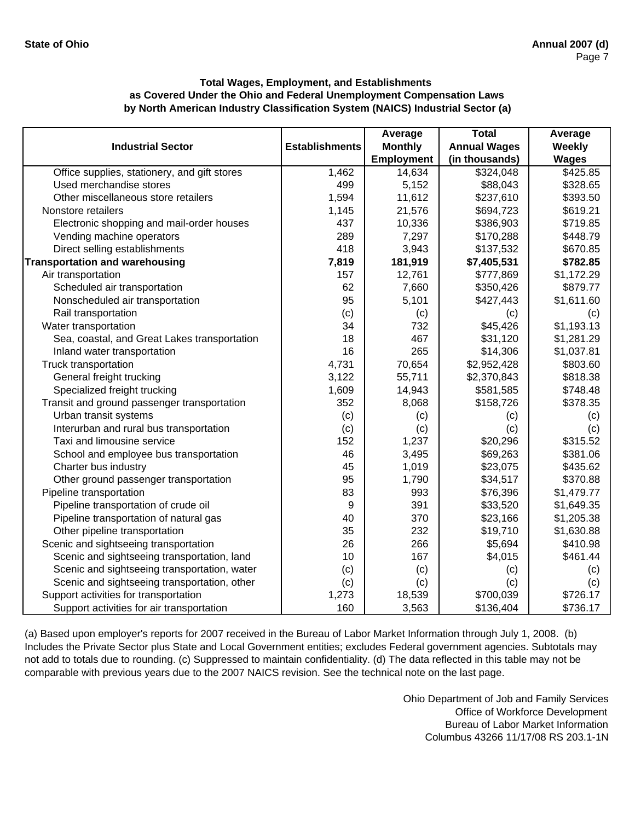|                                              |                       | Average           | <b>Total</b>        | Average      |
|----------------------------------------------|-----------------------|-------------------|---------------------|--------------|
| <b>Industrial Sector</b>                     | <b>Establishments</b> | <b>Monthly</b>    | <b>Annual Wages</b> | Weekly       |
|                                              |                       | <b>Employment</b> | (in thousands)      | <b>Wages</b> |
| Office supplies, stationery, and gift stores | 1,462                 | 14,634            | \$324,048           | \$425.85     |
| Used merchandise stores                      | 499                   | 5,152             | \$88,043            | \$328.65     |
| Other miscellaneous store retailers          | 1,594                 | 11,612            | \$237,610           | \$393.50     |
| Nonstore retailers                           | 1,145                 | 21,576            | \$694,723           | \$619.21     |
| Electronic shopping and mail-order houses    | 437                   | 10,336            | \$386,903           | \$719.85     |
| Vending machine operators                    | 289                   | 7,297             | \$170,288           | \$448.79     |
| Direct selling establishments                | 418                   | 3,943             | \$137,532           | \$670.85     |
| <b>Transportation and warehousing</b>        | 7,819                 | 181,919           | \$7,405,531         | \$782.85     |
| Air transportation                           | 157                   | 12,761            | \$777,869           | \$1,172.29   |
| Scheduled air transportation                 | 62                    | 7,660             | \$350,426           | \$879.77     |
| Nonscheduled air transportation              | 95                    | 5,101             | \$427,443           | \$1,611.60   |
| Rail transportation                          | (c)                   | (c)               | (c)                 | (c)          |
| Water transportation                         | 34                    | 732               | \$45,426            | \$1,193.13   |
| Sea, coastal, and Great Lakes transportation | 18                    | 467               | \$31,120            | \$1,281.29   |
| Inland water transportation                  | 16                    | 265               | \$14,306            | \$1,037.81   |
| Truck transportation                         | 4,731                 | 70,654            | \$2,952,428         | \$803.60     |
| General freight trucking                     | 3,122                 | 55,711            | \$2,370,843         | \$818.38     |
| Specialized freight trucking                 | 1,609                 | 14,943            | \$581,585           | \$748.48     |
| Transit and ground passenger transportation  | 352                   | 8,068             | \$158,726           | \$378.35     |
| Urban transit systems                        | (c)                   | (c)               | (c)                 | (c)          |
| Interurban and rural bus transportation      | (c)                   | (c)               | (c)                 | (c)          |
| Taxi and limousine service                   | 152                   | 1,237             | \$20,296            | \$315.52     |
| School and employee bus transportation       | 46                    | 3,495             | \$69,263            | \$381.06     |
| Charter bus industry                         | 45                    | 1,019             | \$23,075            | \$435.62     |
| Other ground passenger transportation        | 95                    | 1,790             | \$34,517            | \$370.88     |
| Pipeline transportation                      | 83                    | 993               | \$76,396            | \$1,479.77   |
| Pipeline transportation of crude oil         | 9                     | 391               | \$33,520            | \$1,649.35   |
| Pipeline transportation of natural gas       | 40                    | 370               | \$23,166            | \$1,205.38   |
| Other pipeline transportation                | 35                    | 232               | \$19,710            | \$1,630.88   |
| Scenic and sightseeing transportation        | 26                    | 266               | \$5,694             | \$410.98     |
| Scenic and sightseeing transportation, land  | 10                    | 167               | \$4,015             | \$461.44     |
| Scenic and sightseeing transportation, water | (c)                   | (c)               | (c)                 | (c)          |
| Scenic and sightseeing transportation, other | (c)                   | (c)               | (c)                 | (c)          |
| Support activities for transportation        | 1,273                 | 18,539            | \$700,039           | \$726.17     |
| Support activities for air transportation    | 160                   | 3,563             | \$136,404           | \$736.17     |

(a) Based upon employer's reports for 2007 received in the Bureau of Labor Market Information through July 1, 2008. (b) Includes the Private Sector plus State and Local Government entities; excludes Federal government agencies. Subtotals may not add to totals due to rounding. (c) Suppressed to maintain confidentiality. (d) The data reflected in this table may not be comparable with previous years due to the 2007 NAICS revision. See the technical note on the last page.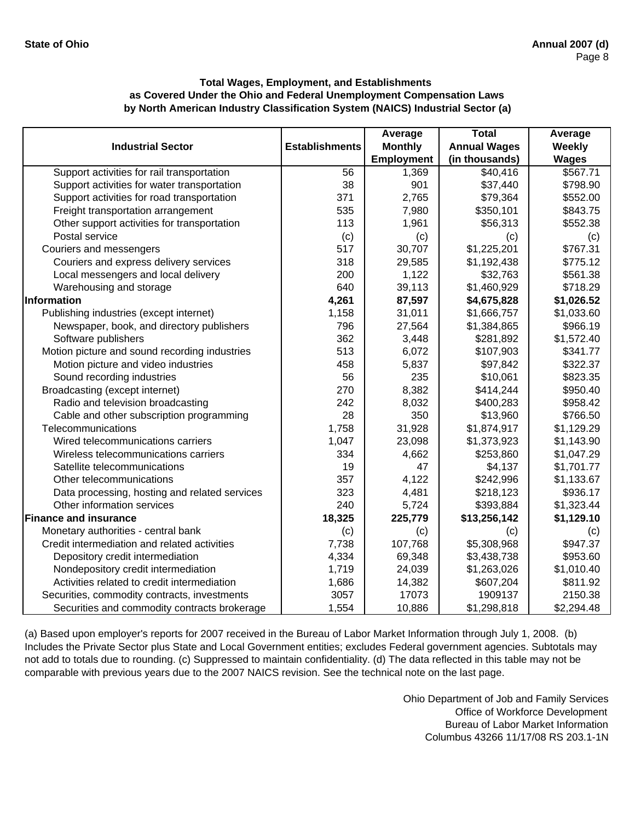|                                               |                       | Average           | <b>Total</b>        | Average      |
|-----------------------------------------------|-----------------------|-------------------|---------------------|--------------|
| <b>Industrial Sector</b>                      | <b>Establishments</b> | <b>Monthly</b>    | <b>Annual Wages</b> | Weekly       |
|                                               |                       | <b>Employment</b> | (in thousands)      | <b>Wages</b> |
| Support activities for rail transportation    | 56                    | 1,369             | \$40,416            | \$567.71     |
| Support activities for water transportation   | 38                    | 901               | \$37,440            | \$798.90     |
| Support activities for road transportation    | 371                   | 2,765             | \$79,364            | \$552.00     |
| Freight transportation arrangement            | 535                   | 7,980             | \$350,101           | \$843.75     |
| Other support activities for transportation   | 113                   | 1,961             | \$56,313            | \$552.38     |
| Postal service                                | (c)                   | (c)               | (c)                 | (c)          |
| Couriers and messengers                       | 517                   | 30,707            | \$1,225,201         | \$767.31     |
| Couriers and express delivery services        | 318                   | 29,585            | \$1,192,438         | \$775.12     |
| Local messengers and local delivery           | 200                   | 1,122             | \$32,763            | \$561.38     |
| Warehousing and storage                       | 640                   | 39,113            | \$1,460,929         | \$718.29     |
| Information                                   | 4,261                 | 87,597            | \$4,675,828         | \$1,026.52   |
| Publishing industries (except internet)       | 1,158                 | 31,011            | \$1,666,757         | \$1,033.60   |
| Newspaper, book, and directory publishers     | 796                   | 27,564            | \$1,384,865         | \$966.19     |
| Software publishers                           | 362                   | 3,448             | \$281,892           | \$1,572.40   |
| Motion picture and sound recording industries | 513                   | 6,072             | \$107,903           | \$341.77     |
| Motion picture and video industries           | 458                   | 5,837             | \$97,842            | \$322.37     |
| Sound recording industries                    | 56                    | 235               | \$10,061            | \$823.35     |
| Broadcasting (except internet)                | 270                   | 8,382             | \$414,244           | \$950.40     |
| Radio and television broadcasting             | 242                   | 8,032             | \$400,283           | \$958.42     |
| Cable and other subscription programming      | 28                    | 350               | \$13,960            | \$766.50     |
| Telecommunications                            | 1,758                 | 31,928            | \$1,874,917         | \$1,129.29   |
| Wired telecommunications carriers             | 1,047                 | 23,098            | \$1,373,923         | \$1,143.90   |
| Wireless telecommunications carriers          | 334                   | 4,662             | \$253,860           | \$1,047.29   |
| Satellite telecommunications                  | 19                    | 47                | \$4,137             | \$1,701.77   |
| Other telecommunications                      | 357                   | 4,122             | \$242,996           | \$1,133.67   |
| Data processing, hosting and related services | 323                   | 4,481             | \$218,123           | \$936.17     |
| Other information services                    | 240                   | 5,724             | \$393,884           | \$1,323.44   |
| <b>Finance and insurance</b>                  | 18,325                | 225,779           | \$13,256,142        | \$1,129.10   |
| Monetary authorities - central bank           | (c)                   | (c)               | (c)                 | (c)          |
| Credit intermediation and related activities  | 7,738                 | 107,768           | \$5,308,968         | \$947.37     |
| Depository credit intermediation              | 4,334                 | 69,348            | \$3,438,738         | \$953.60     |
| Nondepository credit intermediation           | 1,719                 | 24,039            | \$1,263,026         | \$1,010.40   |
| Activities related to credit intermediation   | 1,686                 | 14,382            | \$607,204           | \$811.92     |
| Securities, commodity contracts, investments  | 3057                  | 17073             | 1909137             | 2150.38      |
| Securities and commodity contracts brokerage  | 1,554                 | 10,886            | \$1,298,818         | \$2,294.48   |

(a) Based upon employer's reports for 2007 received in the Bureau of Labor Market Information through July 1, 2008. (b) Includes the Private Sector plus State and Local Government entities; excludes Federal government agencies. Subtotals may not add to totals due to rounding. (c) Suppressed to maintain confidentiality. (d) The data reflected in this table may not be comparable with previous years due to the 2007 NAICS revision. See the technical note on the last page.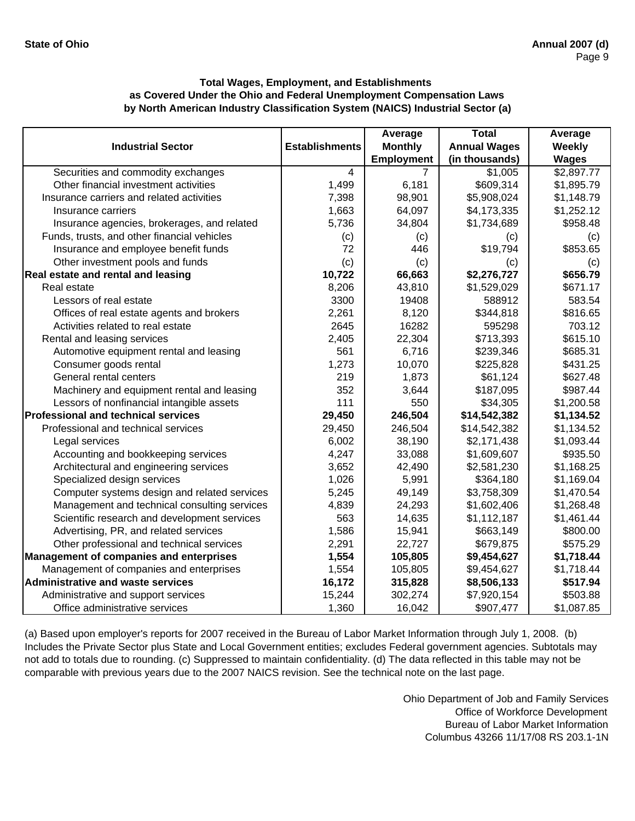|                                                |                       | Average           | <b>Total</b>        | Average      |
|------------------------------------------------|-----------------------|-------------------|---------------------|--------------|
| <b>Industrial Sector</b>                       | <b>Establishments</b> | <b>Monthly</b>    | <b>Annual Wages</b> | Weekly       |
|                                                |                       | <b>Employment</b> | (in thousands)      | <b>Wages</b> |
| Securities and commodity exchanges             | $\overline{4}$        | 7                 | \$1,005             | \$2,897.77   |
| Other financial investment activities          | 1,499                 | 6,181             | \$609,314           | \$1,895.79   |
| Insurance carriers and related activities      | 7,398                 | 98,901            | \$5,908,024         | \$1,148.79   |
| Insurance carriers                             | 1,663                 | 64,097            | \$4,173,335         | \$1,252.12   |
| Insurance agencies, brokerages, and related    | 5,736                 | 34,804            | \$1,734,689         | \$958.48     |
| Funds, trusts, and other financial vehicles    | (c)                   | (c)               | (c)                 | (c)          |
| Insurance and employee benefit funds           | 72                    | 446               | \$19,794            | \$853.65     |
| Other investment pools and funds               | (c)                   | (c)               | (c)                 | (c)          |
| Real estate and rental and leasing             | 10,722                | 66,663            | \$2,276,727         | \$656.79     |
| Real estate                                    | 8,206                 | 43,810            | \$1,529,029         | \$671.17     |
| Lessors of real estate                         | 3300                  | 19408             | 588912              | 583.54       |
| Offices of real estate agents and brokers      | 2,261                 | 8,120             | \$344,818           | \$816.65     |
| Activities related to real estate              | 2645                  | 16282             | 595298              | 703.12       |
| Rental and leasing services                    | 2,405                 | 22,304            | \$713,393           | \$615.10     |
| Automotive equipment rental and leasing        | 561                   | 6,716             | \$239,346           | \$685.31     |
| Consumer goods rental                          | 1,273                 | 10,070            | \$225,828           | \$431.25     |
| General rental centers                         | 219                   | 1,873             | \$61,124            | \$627.48     |
| Machinery and equipment rental and leasing     | 352                   | 3,644             | \$187,095           | \$987.44     |
| Lessors of nonfinancial intangible assets      | 111                   | 550               | \$34,305            | \$1,200.58   |
| <b>Professional and technical services</b>     | 29,450                | 246,504           | \$14,542,382        | \$1,134.52   |
| Professional and technical services            | 29,450                | 246,504           | \$14,542,382        | \$1,134.52   |
| Legal services                                 | 6,002                 | 38,190            | \$2,171,438         | \$1,093.44   |
| Accounting and bookkeeping services            | 4,247                 | 33,088            | \$1,609,607         | \$935.50     |
| Architectural and engineering services         | 3,652                 | 42,490            | \$2,581,230         | \$1,168.25   |
| Specialized design services                    | 1,026                 | 5,991             | \$364,180           | \$1,169.04   |
| Computer systems design and related services   | 5,245                 | 49,149            | \$3,758,309         | \$1,470.54   |
| Management and technical consulting services   | 4,839                 | 24,293            | \$1,602,406         | \$1,268.48   |
| Scientific research and development services   | 563                   | 14,635            | \$1,112,187         | \$1,461.44   |
| Advertising, PR, and related services          | 1,586                 | 15,941            | \$663,149           | \$800.00     |
| Other professional and technical services      | 2,291                 | 22,727            | \$679,875           | \$575.29     |
| <b>Management of companies and enterprises</b> | 1,554                 | 105,805           | \$9,454,627         | \$1,718.44   |
| Management of companies and enterprises        | 1,554                 | 105,805           | \$9,454,627         | \$1,718.44   |
| <b>Administrative and waste services</b>       | 16,172                | 315,828           | \$8,506,133         | \$517.94     |
| Administrative and support services            | 15,244                | 302,274           | \$7,920,154         | \$503.88     |
| Office administrative services                 | 1,360                 | 16,042            | \$907,477           | \$1,087.85   |

(a) Based upon employer's reports for 2007 received in the Bureau of Labor Market Information through July 1, 2008. (b) Includes the Private Sector plus State and Local Government entities; excludes Federal government agencies. Subtotals may not add to totals due to rounding. (c) Suppressed to maintain confidentiality. (d) The data reflected in this table may not be comparable with previous years due to the 2007 NAICS revision. See the technical note on the last page.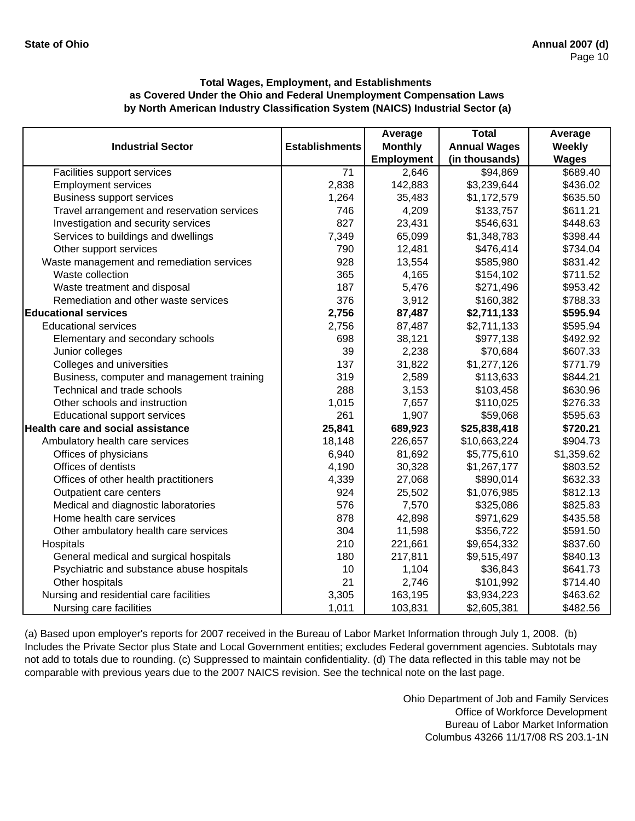|                                             |                       | Average           | <b>Total</b>        | Average         |
|---------------------------------------------|-----------------------|-------------------|---------------------|-----------------|
| <b>Industrial Sector</b>                    | <b>Establishments</b> | <b>Monthly</b>    | <b>Annual Wages</b> | Weekly          |
|                                             |                       | <b>Employment</b> | (in thousands)      | <b>Wages</b>    |
| Facilities support services                 | $\overline{71}$       | 2,646             | \$94,869            | $\sqrt{689.40}$ |
| <b>Employment services</b>                  | 2,838                 | 142,883           | \$3,239,644         | \$436.02        |
| <b>Business support services</b>            | 1,264                 | 35,483            | \$1,172,579         | \$635.50        |
| Travel arrangement and reservation services | 746                   | 4,209             | \$133,757           | \$611.21        |
| Investigation and security services         | 827                   | 23,431            | \$546,631           | \$448.63        |
| Services to buildings and dwellings         | 7,349                 | 65,099            | \$1,348,783         | \$398.44        |
| Other support services                      | 790                   | 12,481            | \$476,414           | \$734.04        |
| Waste management and remediation services   | 928                   | 13,554            | \$585,980           | \$831.42        |
| Waste collection                            | 365                   | 4,165             | \$154,102           | \$711.52        |
| Waste treatment and disposal                | 187                   | 5,476             | \$271,496           | \$953.42        |
| Remediation and other waste services        | 376                   | 3,912             | \$160,382           | \$788.33        |
| <b>Educational services</b>                 | 2,756                 | 87,487            | \$2,711,133         | \$595.94        |
| <b>Educational services</b>                 | 2,756                 | 87,487            | \$2,711,133         | \$595.94        |
| Elementary and secondary schools            | 698                   | 38,121            | \$977,138           | \$492.92        |
| Junior colleges                             | 39                    | 2,238             | \$70,684            | \$607.33        |
| Colleges and universities                   | 137                   | 31,822            | \$1,277,126         | \$771.79        |
| Business, computer and management training  | 319                   | 2,589             | \$113,633           | \$844.21        |
| Technical and trade schools                 | 288                   | 3,153             | \$103,458           | \$630.96        |
| Other schools and instruction               | 1,015                 | 7,657             | \$110,025           | \$276.33        |
| <b>Educational support services</b>         | 261                   | 1,907             | \$59,068            | \$595.63        |
| Health care and social assistance           | 25,841                | 689,923           | \$25,838,418        | \$720.21        |
| Ambulatory health care services             | 18,148                | 226,657           | \$10,663,224        | \$904.73        |
| Offices of physicians                       | 6,940                 | 81,692            | \$5,775,610         | \$1,359.62      |
| Offices of dentists                         | 4,190                 | 30,328            | \$1,267,177         | \$803.52        |
| Offices of other health practitioners       | 4,339                 | 27,068            | \$890,014           | \$632.33        |
| Outpatient care centers                     | 924                   | 25,502            | \$1,076,985         | \$812.13        |
| Medical and diagnostic laboratories         | 576                   | 7,570             | \$325,086           | \$825.83        |
| Home health care services                   | 878                   | 42,898            | \$971,629           | \$435.58        |
| Other ambulatory health care services       | 304                   | 11,598            | \$356,722           | \$591.50        |
| Hospitals                                   | 210                   | 221,661           | \$9,654,332         | \$837.60        |
| General medical and surgical hospitals      | 180                   | 217,811           | \$9,515,497         | \$840.13        |
| Psychiatric and substance abuse hospitals   | 10                    | 1,104             | \$36,843            | \$641.73        |
| Other hospitals                             | 21                    | 2,746             | \$101,992           | \$714.40        |
| Nursing and residential care facilities     | 3,305                 | 163,195           | \$3,934,223         | \$463.62        |
| Nursing care facilities                     | 1,011                 | 103,831           | \$2,605,381         | \$482.56        |

(a) Based upon employer's reports for 2007 received in the Bureau of Labor Market Information through July 1, 2008. (b) Includes the Private Sector plus State and Local Government entities; excludes Federal government agencies. Subtotals may not add to totals due to rounding. (c) Suppressed to maintain confidentiality. (d) The data reflected in this table may not be comparable with previous years due to the 2007 NAICS revision. See the technical note on the last page.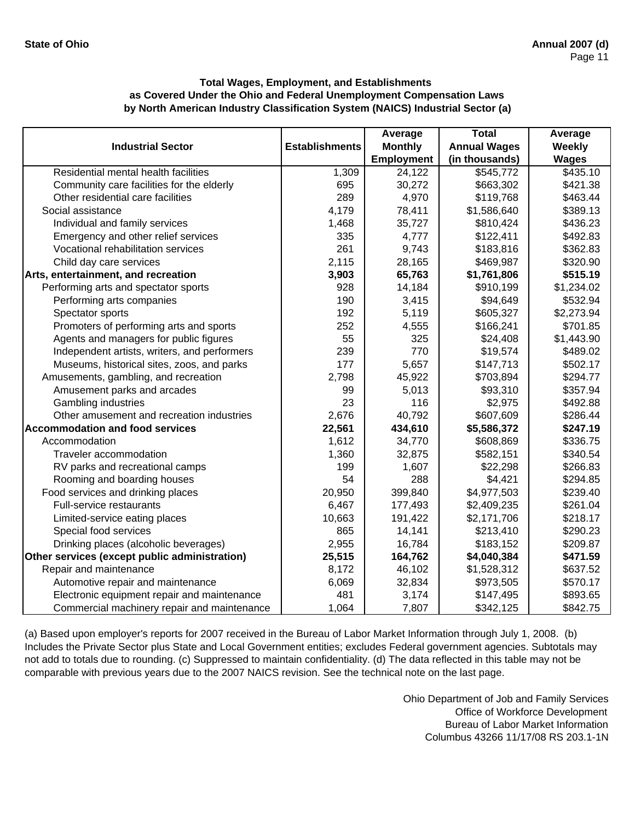|                                               |                       | Average        | <b>Total</b>        | Average      |
|-----------------------------------------------|-----------------------|----------------|---------------------|--------------|
| <b>Industrial Sector</b>                      | <b>Establishments</b> | <b>Monthly</b> | <b>Annual Wages</b> | Weekly       |
|                                               |                       | Employment     | (in thousands)      | <b>Wages</b> |
| Residential mental health facilities          | 1,309                 | 24,122         | \$545,772           | \$435.10     |
| Community care facilities for the elderly     | 695                   | 30,272         | \$663,302           | \$421.38     |
| Other residential care facilities             | 289                   | 4,970          | \$119,768           | \$463.44     |
| Social assistance                             | 4,179                 | 78,411         | \$1,586,640         | \$389.13     |
| Individual and family services                | 1,468                 | 35,727         | \$810,424           | \$436.23     |
| Emergency and other relief services           | 335                   | 4,777          | \$122,411           | \$492.83     |
| Vocational rehabilitation services            | 261                   | 9,743          | \$183,816           | \$362.83     |
| Child day care services                       | 2,115                 | 28,165         | \$469,987           | \$320.90     |
| Arts, entertainment, and recreation           | 3,903                 | 65,763         | \$1,761,806         | \$515.19     |
| Performing arts and spectator sports          | 928                   | 14,184         | \$910,199           | \$1,234.02   |
| Performing arts companies                     | 190                   | 3,415          | \$94,649            | \$532.94     |
| Spectator sports                              | 192                   | 5,119          | \$605,327           | \$2,273.94   |
| Promoters of performing arts and sports       | 252                   | 4,555          | \$166,241           | \$701.85     |
| Agents and managers for public figures        | 55                    | 325            | \$24,408            | \$1,443.90   |
| Independent artists, writers, and performers  | 239                   | 770            | \$19,574            | \$489.02     |
| Museums, historical sites, zoos, and parks    | 177                   | 5,657          | \$147,713           | \$502.17     |
| Amusements, gambling, and recreation          | 2,798                 | 45,922         | \$703,894           | \$294.77     |
| Amusement parks and arcades                   | 99                    | 5,013          | \$93,310            | \$357.94     |
| Gambling industries                           | 23                    | 116            | \$2,975             | \$492.88     |
| Other amusement and recreation industries     | 2,676                 | 40,792         | \$607,609           | \$286.44     |
| <b>Accommodation and food services</b>        | 22,561                | 434,610        | \$5,586,372         | \$247.19     |
| Accommodation                                 | 1,612                 | 34,770         | \$608,869           | \$336.75     |
| Traveler accommodation                        | 1,360                 | 32,875         | \$582,151           | \$340.54     |
| RV parks and recreational camps               | 199                   | 1,607          | \$22,298            | \$266.83     |
| Rooming and boarding houses                   | 54                    | 288            | \$4,421             | \$294.85     |
| Food services and drinking places             | 20,950                | 399,840        | \$4,977,503         | \$239.40     |
| Full-service restaurants                      | 6,467                 | 177,493        | \$2,409,235         | \$261.04     |
| Limited-service eating places                 | 10,663                | 191,422        | \$2,171,706         | \$218.17     |
| Special food services                         | 865                   | 14,141         | \$213,410           | \$290.23     |
| Drinking places (alcoholic beverages)         | 2,955                 | 16,784         | \$183,152           | \$209.87     |
| Other services (except public administration) | 25,515                | 164,762        | \$4,040,384         | \$471.59     |
| Repair and maintenance                        | 8,172                 | 46,102         | \$1,528,312         | \$637.52     |
| Automotive repair and maintenance             | 6,069                 | 32,834         | \$973,505           | \$570.17     |
| Electronic equipment repair and maintenance   | 481                   | 3,174          | \$147,495           | \$893.65     |
| Commercial machinery repair and maintenance   | 1,064                 | 7,807          | \$342,125           | \$842.75     |

(a) Based upon employer's reports for 2007 received in the Bureau of Labor Market Information through July 1, 2008. (b) Includes the Private Sector plus State and Local Government entities; excludes Federal government agencies. Subtotals may not add to totals due to rounding. (c) Suppressed to maintain confidentiality. (d) The data reflected in this table may not be comparable with previous years due to the 2007 NAICS revision. See the technical note on the last page.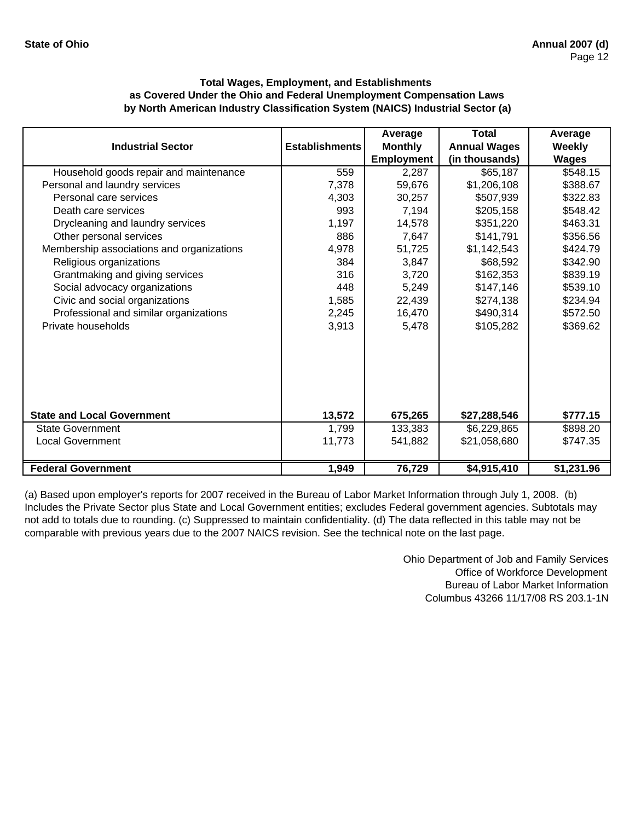|                                           |                       | Average           | <b>Total</b>        | Average       |
|-------------------------------------------|-----------------------|-------------------|---------------------|---------------|
| <b>Industrial Sector</b>                  | <b>Establishments</b> | <b>Monthly</b>    | <b>Annual Wages</b> | <b>Weekly</b> |
|                                           |                       | <b>Employment</b> | (in thousands)      | <b>Wages</b>  |
| Household goods repair and maintenance    | 559                   | 2,287             | \$65,187            | \$548.15      |
| Personal and laundry services             | 7,378                 | 59,676            | \$1,206,108         | \$388.67      |
| Personal care services                    | 4,303                 | 30,257            | \$507,939           | \$322.83      |
| Death care services                       | 993                   | 7,194             | \$205,158           | \$548.42      |
| Drycleaning and laundry services          | 1,197                 | 14,578            | \$351,220           | \$463.31      |
| Other personal services                   | 886                   | 7,647             | \$141,791           | \$356.56      |
| Membership associations and organizations | 4,978                 | 51,725            | \$1,142,543         | \$424.79      |
| Religious organizations                   | 384                   | 3,847             | \$68,592            | \$342.90      |
| Grantmaking and giving services           | 316                   | 3,720             | \$162,353           | \$839.19      |
| Social advocacy organizations             | 448                   | 5,249             | \$147,146           | \$539.10      |
| Civic and social organizations            | 1,585                 | 22,439            | \$274,138           | \$234.94      |
| Professional and similar organizations    | 2,245                 | 16,470            | \$490,314           | \$572.50      |
| Private households                        | 3,913                 | 5,478             | \$105,282           | \$369.62      |
|                                           |                       |                   |                     |               |
|                                           |                       |                   |                     |               |
|                                           |                       |                   |                     |               |
| <b>State and Local Government</b>         | 13,572                | 675,265           | \$27,288,546        | \$777.15      |
| <b>State Government</b>                   | 1,799                 | 133,383           | \$6,229,865         | \$898.20      |
| <b>Local Government</b>                   | 11,773                | 541,882           | \$21,058,680        | \$747.35      |
|                                           |                       |                   |                     |               |
| <b>Federal Government</b>                 | 1,949                 | 76,729            | \$4,915,410         | \$1,231.96    |

(a) Based upon employer's reports for 2007 received in the Bureau of Labor Market Information through July 1, 2008. (b) Includes the Private Sector plus State and Local Government entities; excludes Federal government agencies. Subtotals may not add to totals due to rounding. (c) Suppressed to maintain confidentiality. (d) The data reflected in this table may not be comparable with previous years due to the 2007 NAICS revision. See the technical note on the last page.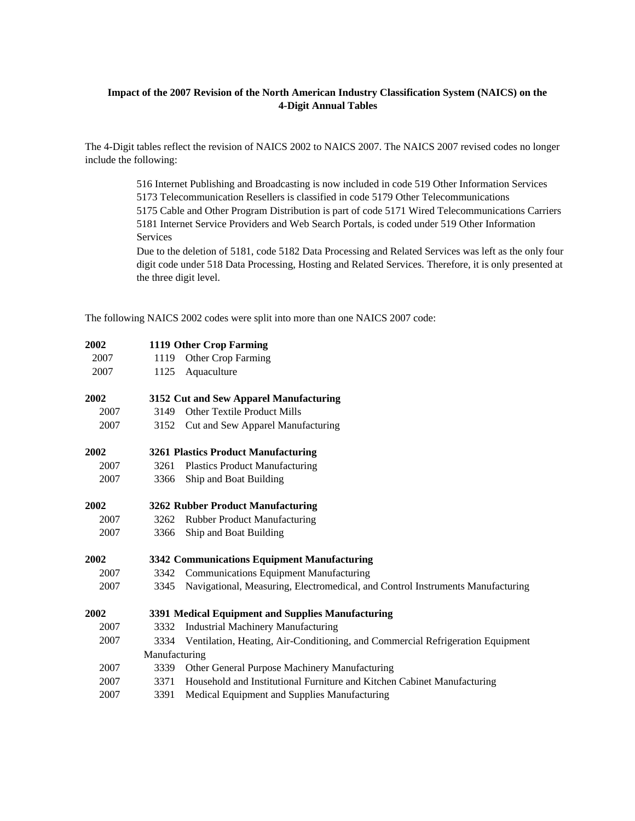# **Impact of the 2007 Revision of the North American Industry Classification System (NAICS) on the 4-Digit Annual Tables**

The 4-Digit tables reflect the revision of NAICS 2002 to NAICS 2007. The NAICS 2007 revised codes no longer include the following:

> 516 Internet Publishing and Broadcasting is now included in code 519 Other Information Services 5173 Telecommunication Resellers is classified in code 5179 Other Telecommunications 5175 Cable and Other Program Distribution is part of code 5171 Wired Telecommunications Carriers 5181 Internet Service Providers and Web Search Portals, is coded under 519 Other Information Services

> Due to the deletion of 5181, code 5182 Data Processing and Related Services was left as the only four digit code under 518 Data Processing, Hosting and Related Services. Therefore, it is only presented at the three digit level.

The following NAICS 2002 codes were split into more than one NAICS 2007 code:

| 2002 |                                                   | 1119 Other Crop Farming                                                        |  |  |
|------|---------------------------------------------------|--------------------------------------------------------------------------------|--|--|
| 2007 | 1119                                              | Other Crop Farming                                                             |  |  |
| 2007 | 1125                                              | Aquaculture                                                                    |  |  |
| 2002 |                                                   | 3152 Cut and Sew Apparel Manufacturing                                         |  |  |
| 2007 | 3149                                              | <b>Other Textile Product Mills</b>                                             |  |  |
| 2007 | 3152                                              | Cut and Sew Apparel Manufacturing                                              |  |  |
| 2002 |                                                   | <b>3261 Plastics Product Manufacturing</b>                                     |  |  |
| 2007 | 3261                                              | <b>Plastics Product Manufacturing</b>                                          |  |  |
| 2007 | 3366                                              | Ship and Boat Building                                                         |  |  |
| 2002 | <b>3262 Rubber Product Manufacturing</b>          |                                                                                |  |  |
| 2007 | 3262                                              | <b>Rubber Product Manufacturing</b>                                            |  |  |
| 2007 | 3366                                              | Ship and Boat Building                                                         |  |  |
| 2002 | 3342 Communications Equipment Manufacturing       |                                                                                |  |  |
| 2007 | 3342                                              | <b>Communications Equipment Manufacturing</b>                                  |  |  |
| 2007 | 3345                                              | Navigational, Measuring, Electromedical, and Control Instruments Manufacturing |  |  |
| 2002 | 3391 Medical Equipment and Supplies Manufacturing |                                                                                |  |  |
| 2007 | 3332                                              | <b>Industrial Machinery Manufacturing</b>                                      |  |  |
| 2007 | 3334                                              | Ventilation, Heating, Air-Conditioning, and Commercial Refrigeration Equipment |  |  |
|      | Manufacturing                                     |                                                                                |  |  |
| 2007 | 3339                                              | Other General Purpose Machinery Manufacturing                                  |  |  |
| 2007 | 3371                                              | Household and Institutional Furniture and Kitchen Cabinet Manufacturing        |  |  |
| 2007 | 3391                                              | Medical Equipment and Supplies Manufacturing                                   |  |  |